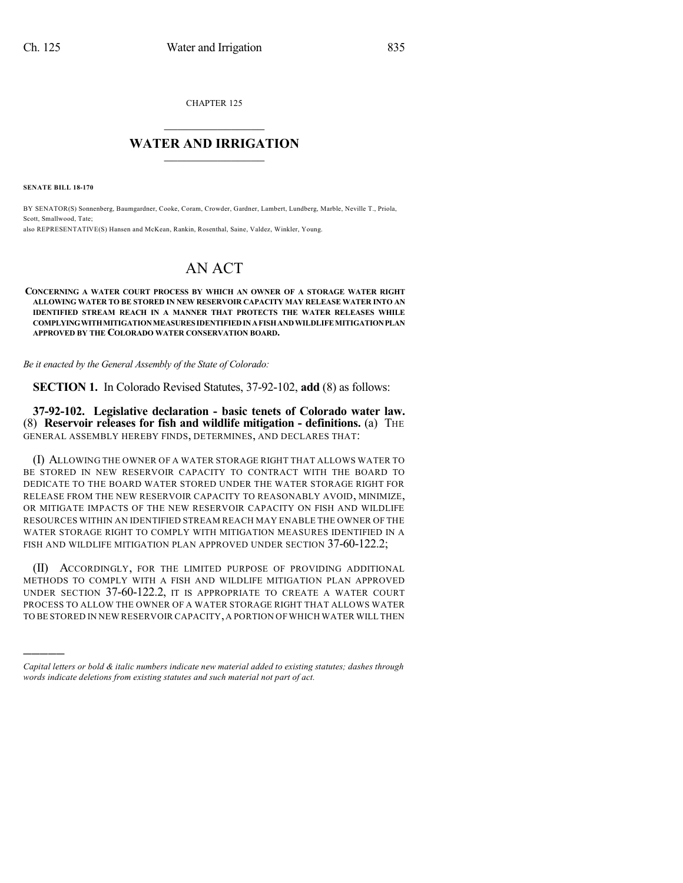CHAPTER 125

## $\mathcal{L}_\text{max}$  . The set of the set of the set of the set of the set of the set of the set of the set of the set of the set of the set of the set of the set of the set of the set of the set of the set of the set of the set **WATER AND IRRIGATION**  $\_$   $\_$

**SENATE BILL 18-170**

)))))

BY SENATOR(S) Sonnenberg, Baumgardner, Cooke, Coram, Crowder, Gardner, Lambert, Lundberg, Marble, Neville T., Priola, Scott, Smallwood, Tate; also REPRESENTATIVE(S) Hansen and McKean, Rankin, Rosenthal, Saine, Valdez, Winkler, Young.

## AN ACT

**CONCERNING A WATER COURT PROCESS BY WHICH AN OWNER OF A STORAGE WATER RIGHT ALLOWING WATER TO BE STORED IN NEW RESERVOIR CAPACITY MAY RELEASE WATER INTO AN IDENTIFIED STREAM REACH IN A MANNER THAT PROTECTS THE WATER RELEASES WHILE COMPLYINGWITHMITIGATIONMEASURES IDENTIFIEDINAFISHANDWILDLIFEMITIGATIONPLAN APPROVED BY THE COLORADO WATER CONSERVATION BOARD.**

*Be it enacted by the General Assembly of the State of Colorado:*

**SECTION 1.** In Colorado Revised Statutes, 37-92-102, **add** (8) as follows:

**37-92-102. Legislative declaration - basic tenets of Colorado water law.** (8) **Reservoir releases for fish and wildlife mitigation - definitions.** (a) THE GENERAL ASSEMBLY HEREBY FINDS, DETERMINES, AND DECLARES THAT:

(I) ALLOWING THE OWNER OF A WATER STORAGE RIGHT THAT ALLOWS WATER TO BE STORED IN NEW RESERVOIR CAPACITY TO CONTRACT WITH THE BOARD TO DEDICATE TO THE BOARD WATER STORED UNDER THE WATER STORAGE RIGHT FOR RELEASE FROM THE NEW RESERVOIR CAPACITY TO REASONABLY AVOID, MINIMIZE, OR MITIGATE IMPACTS OF THE NEW RESERVOIR CAPACITY ON FISH AND WILDLIFE RESOURCES WITHIN AN IDENTIFIED STREAM REACH MAY ENABLE THE OWNER OF THE WATER STORAGE RIGHT TO COMPLY WITH MITIGATION MEASURES IDENTIFIED IN A FISH AND WILDLIFE MITIGATION PLAN APPROVED UNDER SECTION 37-60-122.2;

(II) ACCORDINGLY, FOR THE LIMITED PURPOSE OF PROVIDING ADDITIONAL METHODS TO COMPLY WITH A FISH AND WILDLIFE MITIGATION PLAN APPROVED UNDER SECTION 37-60-122.2, IT IS APPROPRIATE TO CREATE A WATER COURT PROCESS TO ALLOW THE OWNER OF A WATER STORAGE RIGHT THAT ALLOWS WATER TO BE STORED IN NEW RESERVOIR CAPACITY,A PORTION OF WHICH WATER WILL THEN

*Capital letters or bold & italic numbers indicate new material added to existing statutes; dashes through words indicate deletions from existing statutes and such material not part of act.*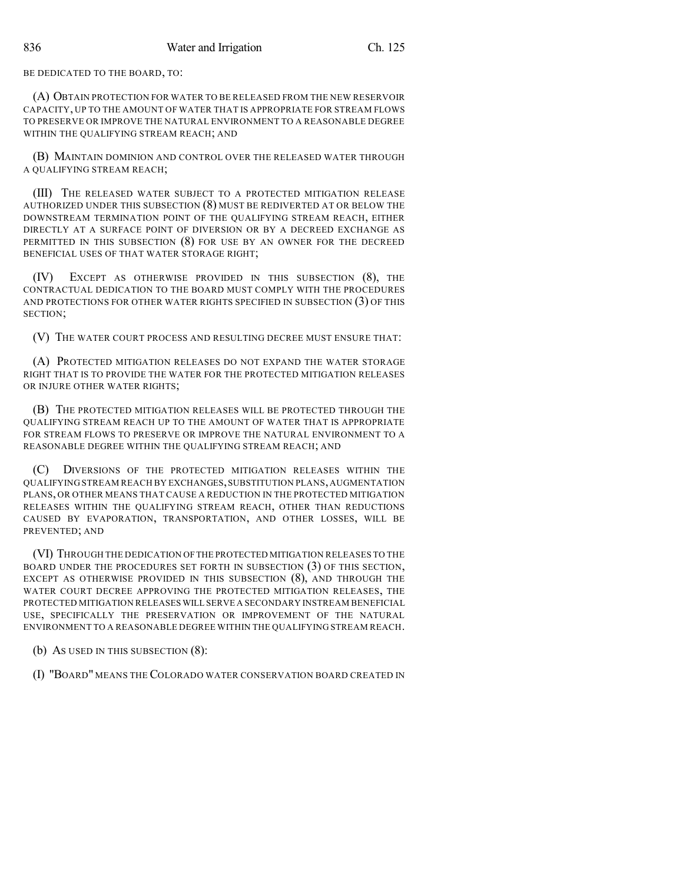BE DEDICATED TO THE BOARD, TO:

(A) OBTAIN PROTECTION FOR WATER TO BE RELEASED FROM THE NEW RESERVOIR CAPACITY, UP TO THE AMOUNT OF WATER THAT IS APPROPRIATE FOR STREAM FLOWS TO PRESERVE OR IMPROVE THE NATURAL ENVIRONMENT TO A REASONABLE DEGREE WITHIN THE QUALIFYING STREAM REACH; AND

(B) MAINTAIN DOMINION AND CONTROL OVER THE RELEASED WATER THROUGH A QUALIFYING STREAM REACH;

(III) THE RELEASED WATER SUBJECT TO A PROTECTED MITIGATION RELEASE AUTHORIZED UNDER THIS SUBSECTION (8) MUST BE REDIVERTED AT OR BELOW THE DOWNSTREAM TERMINATION POINT OF THE QUALIFYING STREAM REACH, EITHER DIRECTLY AT A SURFACE POINT OF DIVERSION OR BY A DECREED EXCHANGE AS PERMITTED IN THIS SUBSECTION (8) FOR USE BY AN OWNER FOR THE DECREED BENEFICIAL USES OF THAT WATER STORAGE RIGHT;

(IV) EXCEPT AS OTHERWISE PROVIDED IN THIS SUBSECTION (8), THE CONTRACTUAL DEDICATION TO THE BOARD MUST COMPLY WITH THE PROCEDURES AND PROTECTIONS FOR OTHER WATER RIGHTS SPECIFIED IN SUBSECTION (3) OF THIS SECTION;

(V) THE WATER COURT PROCESS AND RESULTING DECREE MUST ENSURE THAT:

(A) PROTECTED MITIGATION RELEASES DO NOT EXPAND THE WATER STORAGE RIGHT THAT IS TO PROVIDE THE WATER FOR THE PROTECTED MITIGATION RELEASES OR INJURE OTHER WATER RIGHTS;

(B) THE PROTECTED MITIGATION RELEASES WILL BE PROTECTED THROUGH THE QUALIFYING STREAM REACH UP TO THE AMOUNT OF WATER THAT IS APPROPRIATE FOR STREAM FLOWS TO PRESERVE OR IMPROVE THE NATURAL ENVIRONMENT TO A REASONABLE DEGREE WITHIN THE QUALIFYING STREAM REACH; AND

(C) DIVERSIONS OF THE PROTECTED MITIGATION RELEASES WITHIN THE QUALIFYING STREAM REACH BY EXCHANGES,SUBSTITUTION PLANS,AUGMENTATION PLANS, OR OTHER MEANS THAT CAUSE A REDUCTION IN THE PROTECTED MITIGATION RELEASES WITHIN THE QUALIFYING STREAM REACH, OTHER THAN REDUCTIONS CAUSED BY EVAPORATION, TRANSPORTATION, AND OTHER LOSSES, WILL BE PREVENTED; AND

(VI) THROUGH THE DEDICATION OFTHE PROTECTED MITIGATION RELEASES TO THE BOARD UNDER THE PROCEDURES SET FORTH IN SUBSECTION (3) OF THIS SECTION, EXCEPT AS OTHERWISE PROVIDED IN THIS SUBSECTION (8), AND THROUGH THE WATER COURT DECREE APPROVING THE PROTECTED MITIGATION RELEASES, THE PROTECTED MITIGATION RELEASES WILL SERVE A SECONDARY INSTREAM BENEFICIAL USE, SPECIFICALLY THE PRESERVATION OR IMPROVEMENT OF THE NATURAL ENVIRONMENT TO A REASONABLE DEGREE WITHIN THE QUALIFYING STREAM REACH.

(b) AS USED IN THIS SUBSECTION (8):

(I) "BOARD" MEANS THE COLORADO WATER CONSERVATION BOARD CREATED IN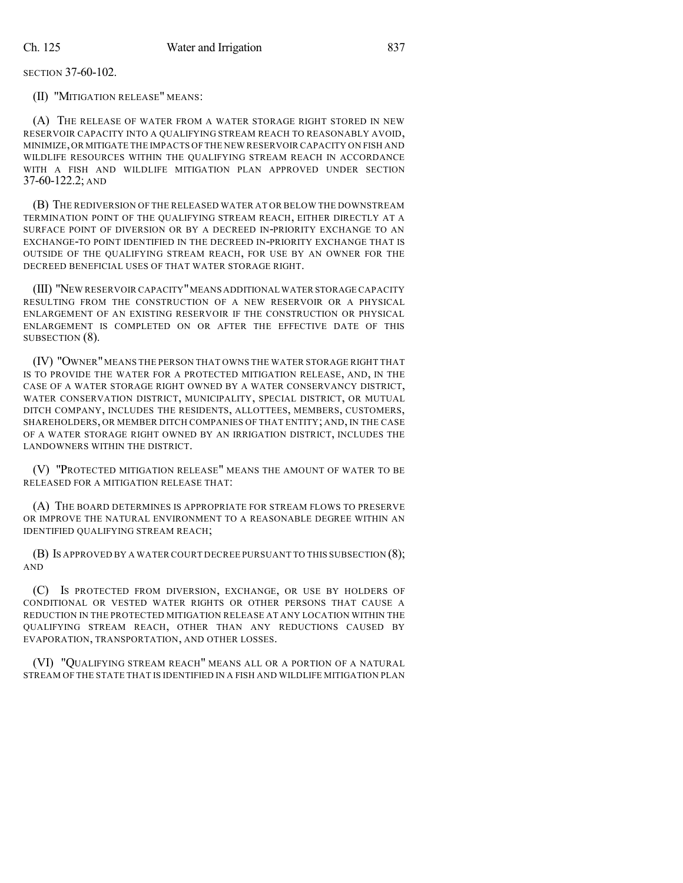SECTION 37-60-102.

(II) "MITIGATION RELEASE" MEANS:

(A) THE RELEASE OF WATER FROM A WATER STORAGE RIGHT STORED IN NEW RESERVOIR CAPACITY INTO A QUALIFYING STREAM REACH TO REASONABLY AVOID, MINIMIZE,OR MITIGATE THE IMPACTS OFTHE NEW RESERVOIR CAPACITY ON FISH AND WILDLIFE RESOURCES WITHIN THE QUALIFYING STREAM REACH IN ACCORDANCE WITH A FISH AND WILDLIFE MITIGATION PLAN APPROVED UNDER SECTION 37-60-122.2; AND

(B) THE REDIVERSION OF THE RELEASED WATER AT OR BELOW THE DOWNSTREAM TERMINATION POINT OF THE QUALIFYING STREAM REACH, EITHER DIRECTLY AT A SURFACE POINT OF DIVERSION OR BY A DECREED IN-PRIORITY EXCHANGE TO AN EXCHANGE-TO POINT IDENTIFIED IN THE DECREED IN-PRIORITY EXCHANGE THAT IS OUTSIDE OF THE QUALIFYING STREAM REACH, FOR USE BY AN OWNER FOR THE DECREED BENEFICIAL USES OF THAT WATER STORAGE RIGHT.

(III) "NEW RESERVOIR CAPACITY"MEANS ADDITIONAL WATER STORAGE CAPACITY RESULTING FROM THE CONSTRUCTION OF A NEW RESERVOIR OR A PHYSICAL ENLARGEMENT OF AN EXISTING RESERVOIR IF THE CONSTRUCTION OR PHYSICAL ENLARGEMENT IS COMPLETED ON OR AFTER THE EFFECTIVE DATE OF THIS SUBSECTION (8).

(IV) "OWNER" MEANS THE PERSON THAT OWNS THE WATER STORAGE RIGHT THAT IS TO PROVIDE THE WATER FOR A PROTECTED MITIGATION RELEASE, AND, IN THE CASE OF A WATER STORAGE RIGHT OWNED BY A WATER CONSERVANCY DISTRICT, WATER CONSERVATION DISTRICT, MUNICIPALITY, SPECIAL DISTRICT, OR MUTUAL DITCH COMPANY, INCLUDES THE RESIDENTS, ALLOTTEES, MEMBERS, CUSTOMERS, SHAREHOLDERS, OR MEMBER DITCH COMPANIES OF THAT ENTITY; AND, IN THE CASE OF A WATER STORAGE RIGHT OWNED BY AN IRRIGATION DISTRICT, INCLUDES THE LANDOWNERS WITHIN THE DISTRICT.

(V) "PROTECTED MITIGATION RELEASE" MEANS THE AMOUNT OF WATER TO BE RELEASED FOR A MITIGATION RELEASE THAT:

(A) THE BOARD DETERMINES IS APPROPRIATE FOR STREAM FLOWS TO PRESERVE OR IMPROVE THE NATURAL ENVIRONMENT TO A REASONABLE DEGREE WITHIN AN IDENTIFIED QUALIFYING STREAM REACH;

(B) IS APPROVED BY A WATER COURT DECREE PURSUANT TO THIS SUBSECTION (8); AND

(C) IS PROTECTED FROM DIVERSION, EXCHANGE, OR USE BY HOLDERS OF CONDITIONAL OR VESTED WATER RIGHTS OR OTHER PERSONS THAT CAUSE A REDUCTION IN THE PROTECTED MITIGATION RELEASE AT ANY LOCATION WITHIN THE QUALIFYING STREAM REACH, OTHER THAN ANY REDUCTIONS CAUSED BY EVAPORATION, TRANSPORTATION, AND OTHER LOSSES.

(VI) "QUALIFYING STREAM REACH" MEANS ALL OR A PORTION OF A NATURAL STREAM OF THE STATE THAT IS IDENTIFIED IN A FISH AND WILDLIFE MITIGATION PLAN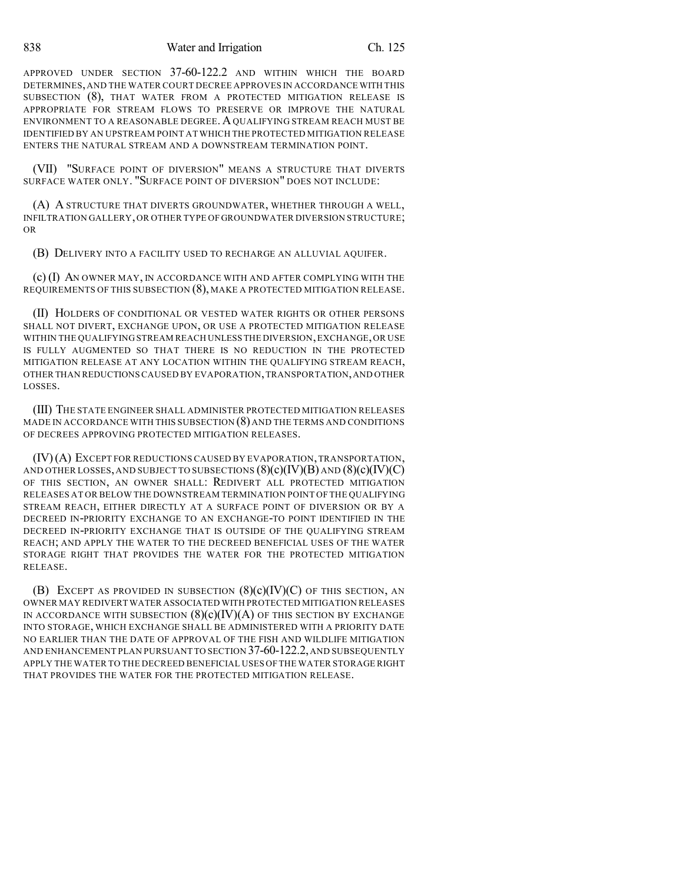APPROVED UNDER SECTION 37-60-122.2 AND WITHIN WHICH THE BOARD DETERMINES,AND THE WATER COURT DECREE APPROVES IN ACCORDANCE WITH THIS SUBSECTION (8), THAT WATER FROM A PROTECTED MITIGATION RELEASE IS APPROPRIATE FOR STREAM FLOWS TO PRESERVE OR IMPROVE THE NATURAL ENVIRONMENT TO A REASONABLE DEGREE. AQUALIFYING STREAM REACH MUST BE IDENTIFIED BY AN UPSTREAM POINT ATWHICH THE PROTECTED MITIGATION RELEASE ENTERS THE NATURAL STREAM AND A DOWNSTREAM TERMINATION POINT.

(VII) "SURFACE POINT OF DIVERSION" MEANS A STRUCTURE THAT DIVERTS SURFACE WATER ONLY. "SURFACE POINT OF DIVERSION" DOES NOT INCLUDE:

(A) A STRUCTURE THAT DIVERTS GROUNDWATER, WHETHER THROUGH A WELL, INFILTRATION GALLERY,OR OTHER TYPE OF GROUNDWATER DIVERSION STRUCTURE; OR

(B) DELIVERY INTO A FACILITY USED TO RECHARGE AN ALLUVIAL AQUIFER.

(c) (I) AN OWNER MAY, IN ACCORDANCE WITH AND AFTER COMPLYING WITH THE REQUIREMENTS OF THIS SUBSECTION (8), MAKE A PROTECTED MITIGATION RELEASE.

(II) HOLDERS OF CONDITIONAL OR VESTED WATER RIGHTS OR OTHER PERSONS SHALL NOT DIVERT, EXCHANGE UPON, OR USE A PROTECTED MITIGATION RELEASE WITHIN THE QUALIFYING STREAM REACH UNLESS THE DIVERSION,EXCHANGE,OR USE IS FULLY AUGMENTED SO THAT THERE IS NO REDUCTION IN THE PROTECTED MITIGATION RELEASE AT ANY LOCATION WITHIN THE QUALIFYING STREAM REACH, OTHER THAN REDUCTIONSCAUSED BY EVAPORATION,TRANSPORTATION,AND OTHER LOSSES.

(III) THE STATE ENGINEER SHALL ADMINISTER PROTECTED MITIGATION RELEASES MADE IN ACCORDANCE WITH THIS SUBSECTION  $(8)$  and the terms and conditions OF DECREES APPROVING PROTECTED MITIGATION RELEASES.

(IV)(A) EXCEPT FOR REDUCTIONS CAUSED BY EVAPORATION,TRANSPORTATION, AND OTHER LOSSES, AND SUBJECT TO SUBSECTIONS  $(8)(c)(IV)(B)$  AND  $(8)(c)(IV)(C)$ OF THIS SECTION, AN OWNER SHALL: REDIVERT ALL PROTECTED MITIGATION RELEASES AT OR BELOW THE DOWNSTREAM TERMINATION POINT OF THE QUALIFYING STREAM REACH, EITHER DIRECTLY AT A SURFACE POINT OF DIVERSION OR BY A DECREED IN-PRIORITY EXCHANGE TO AN EXCHANGE-TO POINT IDENTIFIED IN THE DECREED IN-PRIORITY EXCHANGE THAT IS OUTSIDE OF THE QUALIFYING STREAM REACH; AND APPLY THE WATER TO THE DECREED BENEFICIAL USES OF THE WATER STORAGE RIGHT THAT PROVIDES THE WATER FOR THE PROTECTED MITIGATION RELEASE.

(B) EXCEPT AS PROVIDED IN SUBSECTION  $(8)(c)(IV)(C)$  OF THIS SECTION, AN OWNER MAY REDIVERT WATER ASSOCIATED WITH PROTECTED MITIGATION RELEASES IN ACCORDANCE WITH SUBSECTION  $(8)(c)(IV)(A)$  OF THIS SECTION BY EXCHANGE INTO STORAGE, WHICH EXCHANGE SHALL BE ADMINISTERED WITH A PRIORITY DATE NO EARLIER THAN THE DATE OF APPROVAL OF THE FISH AND WILDLIFE MITIGATION AND ENHANCEMENT PLAN PURSUANT TO SECTION 37-60-122.2,AND SUBSEQUENTLY APPLY THE WATER TO THE DECREED BENEFICIAL USES OFTHE WATER STORAGE RIGHT THAT PROVIDES THE WATER FOR THE PROTECTED MITIGATION RELEASE.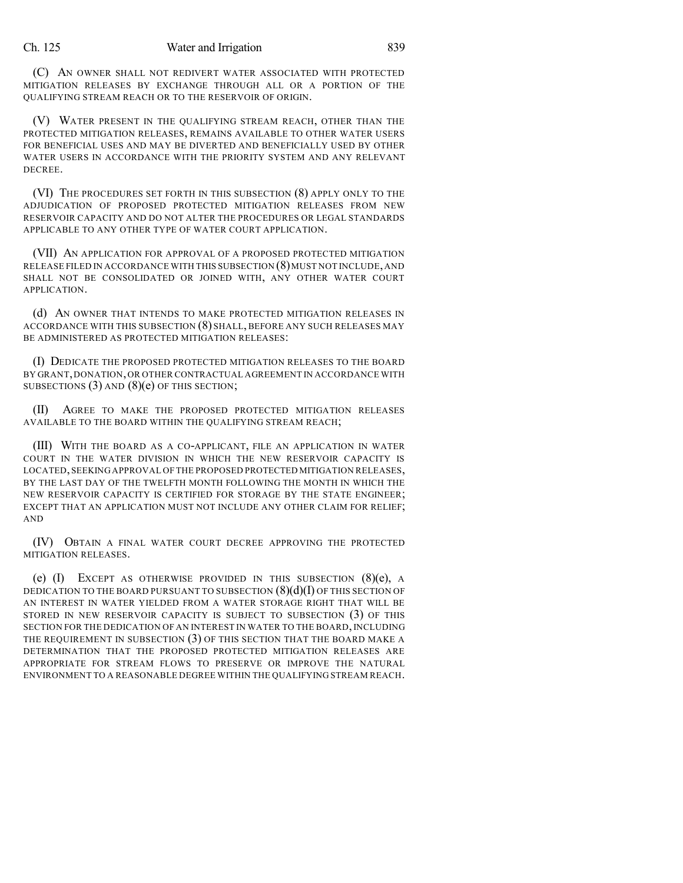(C) AN OWNER SHALL NOT REDIVERT WATER ASSOCIATED WITH PROTECTED MITIGATION RELEASES BY EXCHANGE THROUGH ALL OR A PORTION OF THE QUALIFYING STREAM REACH OR TO THE RESERVOIR OF ORIGIN.

(V) WATER PRESENT IN THE QUALIFYING STREAM REACH, OTHER THAN THE PROTECTED MITIGATION RELEASES, REMAINS AVAILABLE TO OTHER WATER USERS FOR BENEFICIAL USES AND MAY BE DIVERTED AND BENEFICIALLY USED BY OTHER WATER USERS IN ACCORDANCE WITH THE PRIORITY SYSTEM AND ANY RELEVANT DECREE.

(VI) THE PROCEDURES SET FORTH IN THIS SUBSECTION (8) APPLY ONLY TO THE ADJUDICATION OF PROPOSED PROTECTED MITIGATION RELEASES FROM NEW RESERVOIR CAPACITY AND DO NOT ALTER THE PROCEDURES OR LEGAL STANDARDS APPLICABLE TO ANY OTHER TYPE OF WATER COURT APPLICATION.

(VII) AN APPLICATION FOR APPROVAL OF A PROPOSED PROTECTED MITIGATION RELEASE FILED IN ACCORDANCE WITH THIS SUBSECTION (8)MUST NOT INCLUDE,AND SHALL NOT BE CONSOLIDATED OR JOINED WITH, ANY OTHER WATER COURT APPLICATION.

(d) AN OWNER THAT INTENDS TO MAKE PROTECTED MITIGATION RELEASES IN ACCORDANCE WITH THIS SUBSECTION (8) SHALL, BEFORE ANY SUCH RELEASES MAY BE ADMINISTERED AS PROTECTED MITIGATION RELEASES:

(I) DEDICATE THE PROPOSED PROTECTED MITIGATION RELEASES TO THE BOARD BY GRANT,DONATION,OR OTHER CONTRACTUAL AGREEMENT IN ACCORDANCE WITH SUBSECTIONS (3) AND (8)(e) OF THIS SECTION;

(II) AGREE TO MAKE THE PROPOSED PROTECTED MITIGATION RELEASES AVAILABLE TO THE BOARD WITHIN THE QUALIFYING STREAM REACH;

(III) WITH THE BOARD AS A CO-APPLICANT, FILE AN APPLICATION IN WATER COURT IN THE WATER DIVISION IN WHICH THE NEW RESERVOIR CAPACITY IS LOCATED,SEEKING APPROVAL OF THE PROPOSED PROTECTED MITIGATION RELEASES, BY THE LAST DAY OF THE TWELFTH MONTH FOLLOWING THE MONTH IN WHICH THE NEW RESERVOIR CAPACITY IS CERTIFIED FOR STORAGE BY THE STATE ENGINEER; EXCEPT THAT AN APPLICATION MUST NOT INCLUDE ANY OTHER CLAIM FOR RELIEF; AND

(IV) OBTAIN A FINAL WATER COURT DECREE APPROVING THE PROTECTED MITIGATION RELEASES.

(e)  $(I)$  EXCEPT AS OTHERWISE PROVIDED IN THIS SUBSECTION  $(8)(e)$ , A DEDICATION TO THE BOARD PURSUANT TO SUBSECTION  $(8)(d)(I)$  OF THIS SECTION OF AN INTEREST IN WATER YIELDED FROM A WATER STORAGE RIGHT THAT WILL BE STORED IN NEW RESERVOIR CAPACITY IS SUBJECT TO SUBSECTION (3) OF THIS SECTION FOR THE DEDICATION OF AN INTEREST IN WATER TO THE BOARD, INCLUDING THE REQUIREMENT IN SUBSECTION (3) OF THIS SECTION THAT THE BOARD MAKE A DETERMINATION THAT THE PROPOSED PROTECTED MITIGATION RELEASES ARE APPROPRIATE FOR STREAM FLOWS TO PRESERVE OR IMPROVE THE NATURAL ENVIRONMENT TO A REASONABLE DEGREE WITHIN THE QUALIFYING STREAM REACH.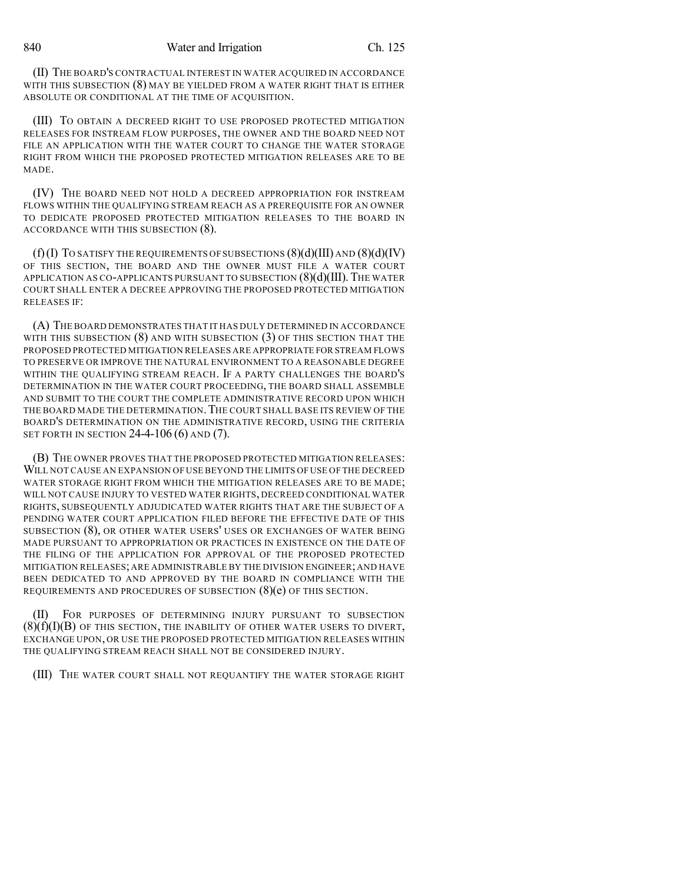(II) THE BOARD'S CONTRACTUAL INTEREST IN WATER ACQUIRED IN ACCORDANCE WITH THIS SUBSECTION (8) MAY BE YIELDED FROM A WATER RIGHT THAT IS EITHER ABSOLUTE OR CONDITIONAL AT THE TIME OF ACQUISITION.

(III) TO OBTAIN A DECREED RIGHT TO USE PROPOSED PROTECTED MITIGATION RELEASES FOR INSTREAM FLOW PURPOSES, THE OWNER AND THE BOARD NEED NOT FILE AN APPLICATION WITH THE WATER COURT TO CHANGE THE WATER STORAGE RIGHT FROM WHICH THE PROPOSED PROTECTED MITIGATION RELEASES ARE TO BE MADE.

(IV) THE BOARD NEED NOT HOLD A DECREED APPROPRIATION FOR INSTREAM FLOWS WITHIN THE QUALIFYING STREAM REACH AS A PREREQUISITE FOR AN OWNER TO DEDICATE PROPOSED PROTECTED MITIGATION RELEASES TO THE BOARD IN ACCORDANCE WITH THIS SUBSECTION (8).

 $(f)(I)$  To satisfy the requirements of subsections  $(8)(d)(III)$  and  $(8)(d)(IV)$ OF THIS SECTION, THE BOARD AND THE OWNER MUST FILE A WATER COURT APPLICATION AS CO-APPLICANTS PURSUANT TO SUBSECTION  $(8)(d)(III)$ . The WATER COURT SHALL ENTER A DECREE APPROVING THE PROPOSED PROTECTED MITIGATION RELEASES IF:

(A) THE BOARD DEMONSTRATES THAT IT HAS DULY DETERMINED IN ACCORDANCE WITH THIS SUBSECTION  $(8)$  and with subsection  $(3)$  of this section that the PROPOSED PROTECTED MITIGATION RELEASES ARE APPROPRIATE FOR STREAM FLOWS TO PRESERVE OR IMPROVE THE NATURAL ENVIRONMENT TO A REASONABLE DEGREE WITHIN THE QUALIFYING STREAM REACH. IF A PARTY CHALLENGES THE BOARD'S DETERMINATION IN THE WATER COURT PROCEEDING, THE BOARD SHALL ASSEMBLE AND SUBMIT TO THE COURT THE COMPLETE ADMINISTRATIVE RECORD UPON WHICH THE BOARD MADE THE DETERMINATION.THE COURT SHALL BASE ITS REVIEW OF THE BOARD'S DETERMINATION ON THE ADMINISTRATIVE RECORD, USING THE CRITERIA SET FORTH IN SECTION 24-4-106 (6) AND (7).

(B) THE OWNER PROVES THAT THE PROPOSED PROTECTED MITIGATION RELEASES: WILL NOT CAUSE AN EXPANSION OF USE BEYOND THE LIMITS OF USE OF THE DECREED WATER STORAGE RIGHT FROM WHICH THE MITIGATION RELEASES ARE TO BE MADE; WILL NOT CAUSE INJURY TO VESTED WATER RIGHTS, DECREED CONDITIONAL WATER RIGHTS, SUBSEQUENTLY ADJUDICATED WATER RIGHTS THAT ARE THE SUBJECT OF A PENDING WATER COURT APPLICATION FILED BEFORE THE EFFECTIVE DATE OF THIS SUBSECTION (8), OR OTHER WATER USERS' USES OR EXCHANGES OF WATER BEING MADE PURSUANT TO APPROPRIATION OR PRACTICES IN EXISTENCE ON THE DATE OF THE FILING OF THE APPLICATION FOR APPROVAL OF THE PROPOSED PROTECTED MITIGATION RELEASES;ARE ADMINISTRABLE BY THE DIVISION ENGINEER;AND HAVE BEEN DEDICATED TO AND APPROVED BY THE BOARD IN COMPLIANCE WITH THE REQUIREMENTS AND PROCEDURES OF SUBSECTION (8)(e) OF THIS SECTION.

(II) FOR PURPOSES OF DETERMINING INJURY PURSUANT TO SUBSECTION  $(8)(f)(I)(B)$  OF THIS SECTION, THE INABILITY OF OTHER WATER USERS TO DIVERT, EXCHANGE UPON, OR USE THE PROPOSED PROTECTED MITIGATION RELEASES WITHIN THE QUALIFYING STREAM REACH SHALL NOT BE CONSIDERED INJURY.

(III) THE WATER COURT SHALL NOT REQUANTIFY THE WATER STORAGE RIGHT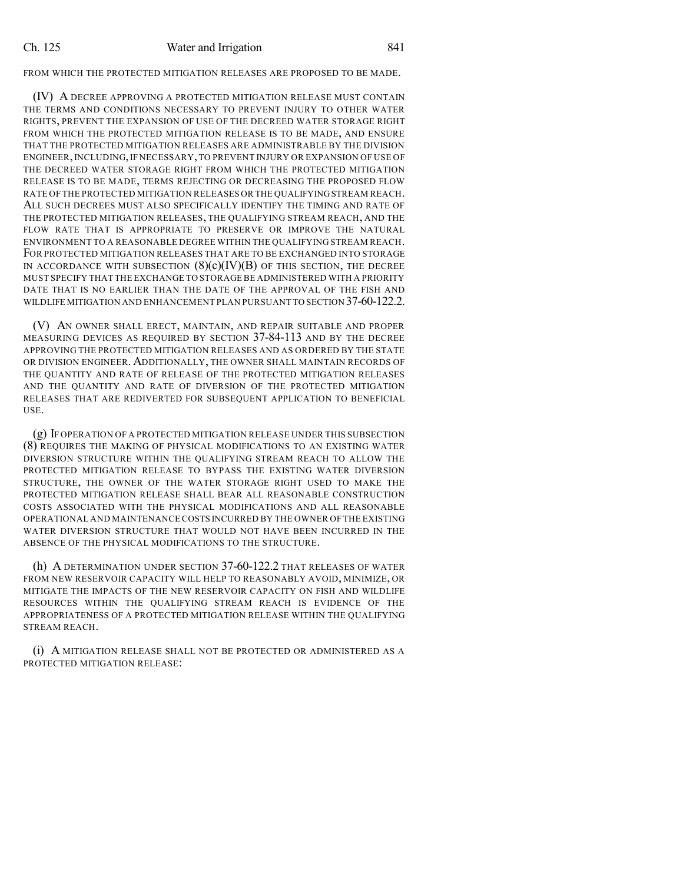FROM WHICH THE PROTECTED MITIGATION RELEASES ARE PROPOSED TO BE MADE.

(IV) A DECREE APPROVING A PROTECTED MITIGATION RELEASE MUST CONTAIN THE TERMS AND CONDITIONS NECESSARY TO PREVENT INJURY TO OTHER WATER RIGHTS, PREVENT THE EXPANSION OF USE OF THE DECREED WATER STORAGE RIGHT FROM WHICH THE PROTECTED MITIGATION RELEASE IS TO BE MADE, AND ENSURE THAT THE PROTECTED MITIGATION RELEASES ARE ADMINISTRABLE BY THE DIVISION ENGINEER,INCLUDING,IF NECESSARY,TO PREVENT INJURY OR EXPANSION OF USE OF THE DECREED WATER STORAGE RIGHT FROM WHICH THE PROTECTED MITIGATION RELEASE IS TO BE MADE, TERMS REJECTING OR DECREASING THE PROPOSED FLOW RATE OF THE PROTECTED MITIGATION RELEASES OR THE QUALIFYINGSTREAM REACH. ALL SUCH DECREES MUST ALSO SPECIFICALLY IDENTIFY THE TIMING AND RATE OF THE PROTECTED MITIGATION RELEASES, THE QUALIFYING STREAM REACH, AND THE FLOW RATE THAT IS APPROPRIATE TO PRESERVE OR IMPROVE THE NATURAL ENVIRONMENT TO A REASONABLE DEGREE WITHIN THE QUALIFYING STREAM REACH. FOR PROTECTED MITIGATION RELEASES THAT ARE TO BE EXCHANGED INTO STORAGE IN ACCORDANCE WITH SUBSECTION  $(8)(c)(IV)(B)$  of this section, the decree MUST SPECIFY THAT THE EXCHANGE TO STORAGE BE ADMINISTERED WITH A PRIORITY DATE THAT IS NO EARLIER THAN THE DATE OF THE APPROVAL OF THE FISH AND WILDLIFE MITIGATION AND ENHANCEMENT PLAN PURSUANT TO SECTION 37-60-122.2.

(V) AN OWNER SHALL ERECT, MAINTAIN, AND REPAIR SUITABLE AND PROPER MEASURING DEVICES AS REQUIRED BY SECTION 37-84-113 AND BY THE DECREE APPROVING THE PROTECTED MITIGATION RELEASES AND AS ORDERED BY THE STATE OR DIVISION ENGINEER. ADDITIONALLY, THE OWNER SHALL MAINTAIN RECORDS OF THE QUANTITY AND RATE OF RELEASE OF THE PROTECTED MITIGATION RELEASES AND THE QUANTITY AND RATE OF DIVERSION OF THE PROTECTED MITIGATION RELEASES THAT ARE REDIVERTED FOR SUBSEQUENT APPLICATION TO BENEFICIAL USE.

(g) IF OPERATION OF A PROTECTED MITIGATION RELEASE UNDER THIS SUBSECTION (8) REQUIRES THE MAKING OF PHYSICAL MODIFICATIONS TO AN EXISTING WATER DIVERSION STRUCTURE WITHIN THE QUALIFYING STREAM REACH TO ALLOW THE PROTECTED MITIGATION RELEASE TO BYPASS THE EXISTING WATER DIVERSION STRUCTURE, THE OWNER OF THE WATER STORAGE RIGHT USED TO MAKE THE PROTECTED MITIGATION RELEASE SHALL BEAR ALL REASONABLE CONSTRUCTION COSTS ASSOCIATED WITH THE PHYSICAL MODIFICATIONS AND ALL REASONABLE OPERATIONAL AND MAINTENANCE COSTS INCURRED BY THE OWNER OF THE EXISTING WATER DIVERSION STRUCTURE THAT WOULD NOT HAVE BEEN INCURRED IN THE ABSENCE OF THE PHYSICAL MODIFICATIONS TO THE STRUCTURE.

(h) A DETERMINATION UNDER SECTION 37-60-122.2 THAT RELEASES OF WATER FROM NEW RESERVOIR CAPACITY WILL HELP TO REASONABLY AVOID, MINIMIZE, OR MITIGATE THE IMPACTS OF THE NEW RESERVOIR CAPACITY ON FISH AND WILDLIFE RESOURCES WITHIN THE QUALIFYING STREAM REACH IS EVIDENCE OF THE APPROPRIATENESS OF A PROTECTED MITIGATION RELEASE WITHIN THE QUALIFYING STREAM REACH.

(i) A MITIGATION RELEASE SHALL NOT BE PROTECTED OR ADMINISTERED AS A PROTECTED MITIGATION RELEASE: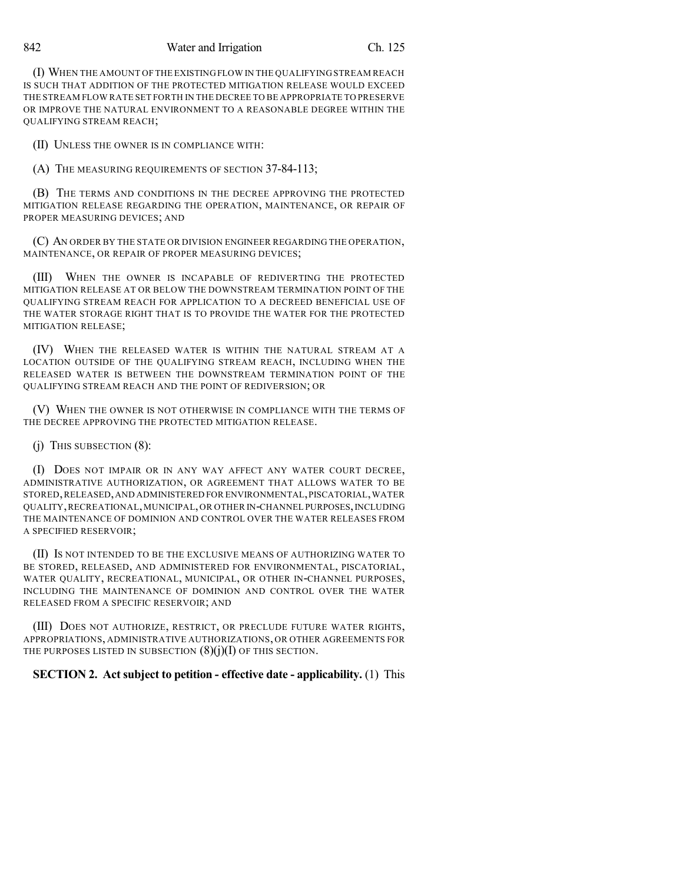842 Water and Irrigation Ch. 125

(I) WHEN THE AMOUNT OF THE EXISTINGFLOW IN THE QUALIFYINGSTREAM REACH IS SUCH THAT ADDITION OF THE PROTECTED MITIGATION RELEASE WOULD EXCEED THE STREAM FLOW RATE SET FORTH IN THE DECREE TO BE APPROPRIATE TO PRESERVE OR IMPROVE THE NATURAL ENVIRONMENT TO A REASONABLE DEGREE WITHIN THE QUALIFYING STREAM REACH;

(II) UNLESS THE OWNER IS IN COMPLIANCE WITH:

(A) THE MEASURING REQUIREMENTS OF SECTION 37-84-113;

(B) THE TERMS AND CONDITIONS IN THE DECREE APPROVING THE PROTECTED MITIGATION RELEASE REGARDING THE OPERATION, MAINTENANCE, OR REPAIR OF PROPER MEASURING DEVICES; AND

(C) AN ORDER BY THE STATE OR DIVISION ENGINEER REGARDING THE OPERATION, MAINTENANCE, OR REPAIR OF PROPER MEASURING DEVICES;

(III) WHEN THE OWNER IS INCAPABLE OF REDIVERTING THE PROTECTED MITIGATION RELEASE AT OR BELOW THE DOWNSTREAM TERMINATION POINT OF THE QUALIFYING STREAM REACH FOR APPLICATION TO A DECREED BENEFICIAL USE OF THE WATER STORAGE RIGHT THAT IS TO PROVIDE THE WATER FOR THE PROTECTED MITIGATION RELEASE;

(IV) WHEN THE RELEASED WATER IS WITHIN THE NATURAL STREAM AT A LOCATION OUTSIDE OF THE QUALIFYING STREAM REACH, INCLUDING WHEN THE RELEASED WATER IS BETWEEN THE DOWNSTREAM TERMINATION POINT OF THE QUALIFYING STREAM REACH AND THE POINT OF REDIVERSION; OR

(V) WHEN THE OWNER IS NOT OTHERWISE IN COMPLIANCE WITH THE TERMS OF THE DECREE APPROVING THE PROTECTED MITIGATION RELEASE.

(j) THIS SUBSECTION (8):

(I) DOES NOT IMPAIR OR IN ANY WAY AFFECT ANY WATER COURT DECREE, ADMINISTRATIVE AUTHORIZATION, OR AGREEMENT THAT ALLOWS WATER TO BE STORED,RELEASED,AND ADMINISTERED FOR ENVIRONMENTAL,PISCATORIAL,WATER QUALITY,RECREATIONAL,MUNICIPAL,OR OTHER IN-CHANNEL PURPOSES,INCLUDING THE MAINTENANCE OF DOMINION AND CONTROL OVER THE WATER RELEASES FROM A SPECIFIED RESERVOIR;

(II) IS NOT INTENDED TO BE THE EXCLUSIVE MEANS OF AUTHORIZING WATER TO BE STORED, RELEASED, AND ADMINISTERED FOR ENVIRONMENTAL, PISCATORIAL, WATER QUALITY, RECREATIONAL, MUNICIPAL, OR OTHER IN-CHANNEL PURPOSES, INCLUDING THE MAINTENANCE OF DOMINION AND CONTROL OVER THE WATER RELEASED FROM A SPECIFIC RESERVOIR; AND

(III) DOES NOT AUTHORIZE, RESTRICT, OR PRECLUDE FUTURE WATER RIGHTS, APPROPRIATIONS, ADMINISTRATIVE AUTHORIZATIONS, OR OTHER AGREEMENTS FOR THE PURPOSES LISTED IN SUBSECTION  $(8)(j)(I)$  OF THIS SECTION.

## **SECTION 2. Act subject to petition - effective date - applicability.** (1) This